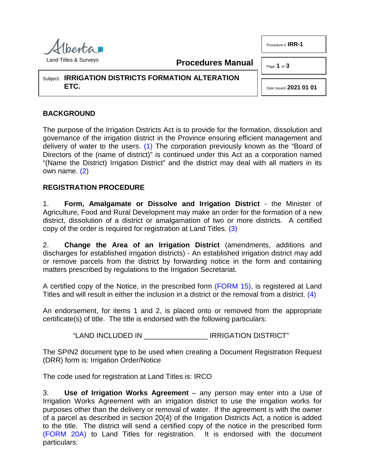

<span id="page-0-0"></span>**Procedures Manual**

Page **1** of **3** 

Subject: **IRRIGATION DISTRICTS FORMATION ALTERATION ETC.**

# **BACKGROUND**

The purpose of the Irrigation Districts Act is to provide for the formation, dissolution and governance of the irrigation district in the Province ensuring efficient management and delivery of water to the users. [\(1\)](#page-2-0) The corporation previously known as the "Board of Directors of the (name of district)" is continued under this Act as a corporation named "(Name the District) Irrigation District" and the district may deal with all matters in its own name. [\(2\)](#page-2-1)

## <span id="page-0-1"></span>**REGISTRATION PROCEDURE**

1. **Form, Amalgamate or Dissolve and Irrigation District** - the Minister of Agriculture, Food and Rural Development may make an order for the formation of a new district, dissolution of a district or amalgamation of two or more districts. A certified copy of the order is required for registration at Land Titles. [\(3\)](#page-2-2)

2. **Change the Area of an Irrigation District** (amendments, additions and discharges for established irrigation districts) - An established irrigation district may add or remove parcels from the district by forwarding notice in the form and containing matters prescribed by regulations to the Irrigation Secretariat.

A certified copy of the Notice, in the prescribed form [\(FORM 15\),](http://www.servicealberta.ca/pdf/ltmanual/IRR-FORM15.pdf) is registered at Land Titles and will result in either the inclusion in a district or the removal from a district. [\(4\)](#page-2-3)

An endorsement, for items 1 and 2, is placed onto or removed from the appropriate certificate(s) of title. The title is endorsed with the following particulars:

"LAND INCLUDED IN \_\_\_\_\_\_\_\_\_\_\_\_\_\_\_\_ IRRIGATION DISTRICT"

The SPIN2 document type to be used when creating a Document Registration Request (DRR) form is: Irrigation Order/Notice

The code used for registration at Land Titles is: IRCO

3. **Use of Irrigation Works Agreement** – any person may enter into a Use of Irrigation Works Agreement with an irrigation district to use the irrigation works for purposes other than the delivery or removal of water. If the agreement is with the owner of a parcel as described in section 20(4) of the Irrigation Districts Act, a notice is added to the title. The district will send a certified copy of the notice in the prescribed form [\(FORM 20A\)](http://www.servicealberta.ca/pdf/ltmanual/IRR-FORM20A.pdf) to Land Titles for registration. It is endorsed with the document particulars:

<span id="page-0-3"></span><span id="page-0-2"></span>Date Issued **2021 01 01**

Procedure # **IRR-1**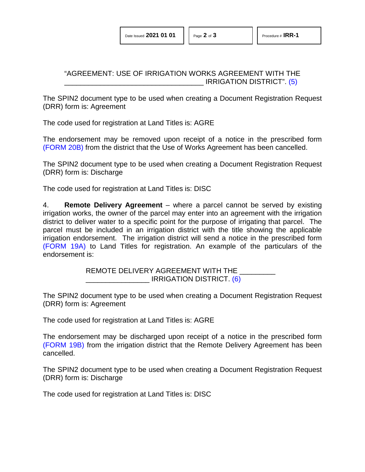### <span id="page-1-0"></span>"AGREEMENT: USE OF IRRIGATION WORKS AGREEMENT WITH THE IRRIGATION DISTRICT". [\(5\)](#page-2-4)

The SPIN2 document type to be used when creating a Document Registration Request (DRR) form is: Agreement

The code used for registration at Land Titles is: AGRE

The endorsement may be removed upon receipt of a notice in the prescribed form [\(FORM 20B\)](http://www.servicealberta.ca/pdf/ltmanual/IRR-FORM20B.pdf) from the district that the Use of Works Agreement has been cancelled.

The SPIN2 document type to be used when creating a Document Registration Request (DRR) form is: Discharge

The code used for registration at Land Titles is: DISC

4. **Remote Delivery Agreement** – where a parcel cannot be served by existing irrigation works, the owner of the parcel may enter into an agreement with the irrigation district to deliver water to a specific point for the purpose of irrigating that parcel. The parcel must be included in an irrigation district with the title showing the applicable irrigation endorsement. The irrigation district will send a notice in the prescribed form [\(FORM 19A\)](http://www.servicealberta.ca/pdf/ltmanual/IRR-FORM19A.pdf) to Land Titles for registration. An example of the particulars of the endorsement is:

> <span id="page-1-1"></span>REMOTE DELIVERY AGREEMENT WITH THE IRRIGATION DISTRICT. [\(6\)](#page-2-5)

The SPIN2 document type to be used when creating a Document Registration Request (DRR) form is: Agreement

The code used for registration at Land Titles is: AGRE

The endorsement may be discharged upon receipt of a notice in the prescribed form [\(FORM 19B\)](http://www.servicealberta.ca/pdf/ltmanual/IRR-FORM19B.pdf) from the irrigation district that the Remote Delivery Agreement has been cancelled.

The SPIN2 document type to be used when creating a Document Registration Request (DRR) form is: Discharge

The code used for registration at Land Titles is: DISC